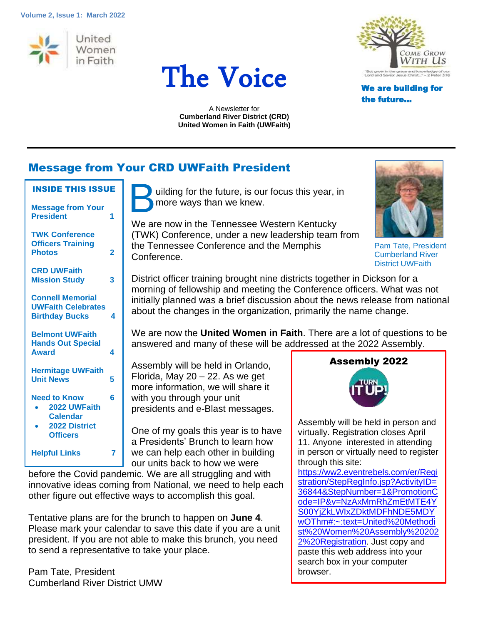#### **Volume 2, Issue 1: March 2022**







the future…

A Newsletter for **Cumberland River District (CRD) United Women in Faith (UWFaith)**

## Message from Your CRD UWFaith President

|  | <b>INSIDE THIS ISSUE</b> |
|--|--------------------------|
|  |                          |

| <b>Message from Your</b><br><b>President</b>                                                      | 1 |  |
|---------------------------------------------------------------------------------------------------|---|--|
| <b>TWK Conference</b><br><b>Officers Training</b><br><b>Photos</b>                                | 2 |  |
| <b>CRD UWFaith</b><br><b>Mission Study</b>                                                        | 3 |  |
| <b>Connell Memorial</b><br><b>UWFaith Celebrates</b><br><b>Birthday Bucks</b>                     | 4 |  |
| <b>Belmont UWFaith</b><br><b>Hands Out Special</b><br><b>Award</b>                                | 4 |  |
| <b>Hermitage UWFaith</b><br><b>Unit News</b>                                                      |   |  |
| <b>Need to Know</b><br>2022 UWFaith<br><b>Calendar</b><br><b>2022 District</b><br><b>Officers</b> | հ |  |
| <b>Helpful Links</b>                                                                              |   |  |

uilding for the future, is our focus this year, in more ways than we knew. B

We are now in the Tennessee Western Kentucky (TWK) Conference, under a new leadership team from the Tennessee Conference and the Memphis Conference.



Pam Tate, President Cumberland River District UWFaith

District officer training brought nine districts together in Dickson for a morning of fellowship and meeting the Conference officers. What was not initially planned was a brief discussion about the news release from national about the changes in the organization, primarily the name change.

We are now the **United Women in Faith**. There are a lot of questions to be answered and many of these will be addressed at the 2022 Assembly.

Assembly will be held in Orlando, Florida, May  $20 - 22$ . As we get more information, we will share it with you through your unit presidents and e-Blast messages.

One of my goals this year is to have a Presidents' Brunch to learn how we can help each other in building our units back to how we were

before the Covid pandemic. We are all struggling and with innovative ideas coming from National, we need to help each other figure out effective ways to accomplish this goal.

Tentative plans are for the brunch to happen on **June 4**. Please mark your calendar to save this date if you are a unit president. If you are not able to make this brunch, you need to send a representative to take your place.

Pam Tate, President Cumberland River District UMW





Assembly will be held in person and virtually. Registration closes April 11. Anyone interested in attending in person or virtually need to register through this site:

[https://ww2.eventrebels.com/er/Regi](https://ww2.eventrebels.com/er/Registration/StepRegInfo.jsp?ActivityID=36844&StepNumber=1&PromotionCode=IP&v=NzAxMmRhZmEtMTE4YS00YjZkLWIxZDktMDFhNDE5MDYwOThm#:~:text=United%20Methodist%20Women%20Assembly%202022%20Registration) [stration/StepRegInfo.jsp?ActivityID=](https://ww2.eventrebels.com/er/Registration/StepRegInfo.jsp?ActivityID=36844&StepNumber=1&PromotionCode=IP&v=NzAxMmRhZmEtMTE4YS00YjZkLWIxZDktMDFhNDE5MDYwOThm#:~:text=United%20Methodist%20Women%20Assembly%202022%20Registration) [36844&StepNumber=1&PromotionC](https://ww2.eventrebels.com/er/Registration/StepRegInfo.jsp?ActivityID=36844&StepNumber=1&PromotionCode=IP&v=NzAxMmRhZmEtMTE4YS00YjZkLWIxZDktMDFhNDE5MDYwOThm#:~:text=United%20Methodist%20Women%20Assembly%202022%20Registration) [ode=IP&v=NzAxMmRhZmEtMTE4Y](https://ww2.eventrebels.com/er/Registration/StepRegInfo.jsp?ActivityID=36844&StepNumber=1&PromotionCode=IP&v=NzAxMmRhZmEtMTE4YS00YjZkLWIxZDktMDFhNDE5MDYwOThm#:~:text=United%20Methodist%20Women%20Assembly%202022%20Registration) [S00YjZkLWIxZDktMDFhNDE5MDY](https://ww2.eventrebels.com/er/Registration/StepRegInfo.jsp?ActivityID=36844&StepNumber=1&PromotionCode=IP&v=NzAxMmRhZmEtMTE4YS00YjZkLWIxZDktMDFhNDE5MDYwOThm#:~:text=United%20Methodist%20Women%20Assembly%202022%20Registration) [wOThm#:~:text=United%20Methodi](https://ww2.eventrebels.com/er/Registration/StepRegInfo.jsp?ActivityID=36844&StepNumber=1&PromotionCode=IP&v=NzAxMmRhZmEtMTE4YS00YjZkLWIxZDktMDFhNDE5MDYwOThm#:~:text=United%20Methodist%20Women%20Assembly%202022%20Registration) [st%20Women%20Assembly%20202](https://ww2.eventrebels.com/er/Registration/StepRegInfo.jsp?ActivityID=36844&StepNumber=1&PromotionCode=IP&v=NzAxMmRhZmEtMTE4YS00YjZkLWIxZDktMDFhNDE5MDYwOThm#:~:text=United%20Methodist%20Women%20Assembly%202022%20Registration) [2%20Registration.](https://ww2.eventrebels.com/er/Registration/StepRegInfo.jsp?ActivityID=36844&StepNumber=1&PromotionCode=IP&v=NzAxMmRhZmEtMTE4YS00YjZkLWIxZDktMDFhNDE5MDYwOThm#:~:text=United%20Methodist%20Women%20Assembly%202022%20Registration) Just copy and paste this web address into your search box in your computer browser.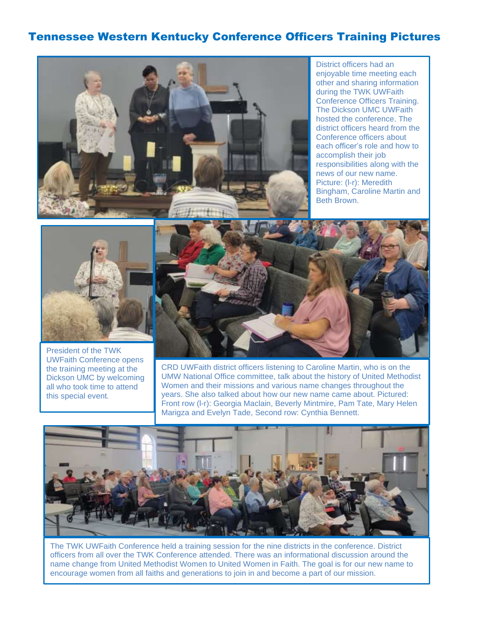### Tennessee Western Kentucky Conference Officers Training Pictures



District officers had an enjoyable time meeting each other and sharing information during the TWK UWFaith Conference Officers Training. The Dickson UMC UWFaith hosted the conference. The district officers heard from the Conference officers about each officer's role and how to accomplish their job responsibilities along with the news of our new name. Picture: (l-r): Meredith Bingham, Caroline Martin and Beth Brown.



President of the TWK UWFaith Conference opens the training meeting at the Dickson UMC by welcoming all who took time to attend this special event.



CRD UWFaith district officers listening to Caroline Martin, who is on the UMW National Office committee, talk about the history of United Methodist Women and their missions and various name changes throughout the years. She also talked about how our new name came about. Pictured: Front row (l-r): Georgia Maclain, Beverly Mintmire, Pam Tate, Mary Helen Marigza and Evelyn Tade, Second row: Cynthia Bennett.



The TWK UWFaith Conference held a training session for the nine districts in the conference. District officers from all over the TWK Conference attended. There was an informational discussion around the name change from United Methodist Women to United Women in Faith. The goal is for our new name to encourage women from all faiths and generations to join in and become a part of our mission.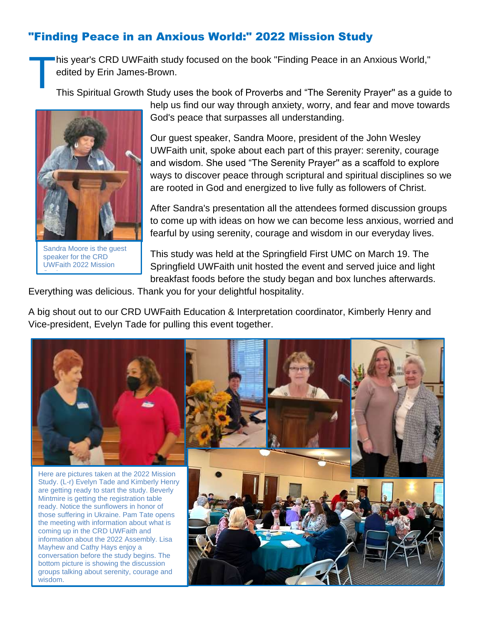## "Finding Peace in an Anxious World:" 2022 Mission Study

his year's CRD UWFaith study focused on the book "Finding Peace in an Anxious World," edited by Erin James-Brown. T

This Spiritual Growth Study uses the book of Proverbs and "The Serenity Prayer'' as a guide to



Sandra Moore is the guest speaker for the CRD UWFaith 2022 Mission Study.

help us find our way through anxiety, worry, and fear and move towards God's peace that surpasses all understanding.

Our guest speaker, Sandra Moore, president of the John Wesley UWFaith unit, spoke about each part of this prayer: serenity, courage and wisdom. She used "The Serenity Prayer'' as a scaffold to explore ways to discover peace through scriptural and spiritual disciplines so we are rooted in God and energized to live fully as followers of Christ.

After Sandra's presentation all the attendees formed discussion groups to come up with ideas on how we can become less anxious, worried and fearful by using serenity, courage and wisdom in our everyday lives.

This study was held at the Springfield First UMC on March 19. The Springfield UWFaith unit hosted the event and served juice and light breakfast foods before the study began and box lunches afterwards.

Everything was delicious. Thank you for your delightful hospitality.

A big shout out to our CRD UWFaith Education & Interpretation coordinator, Kimberly Henry and Vice-president, Evelyn Tade for pulling this event together.

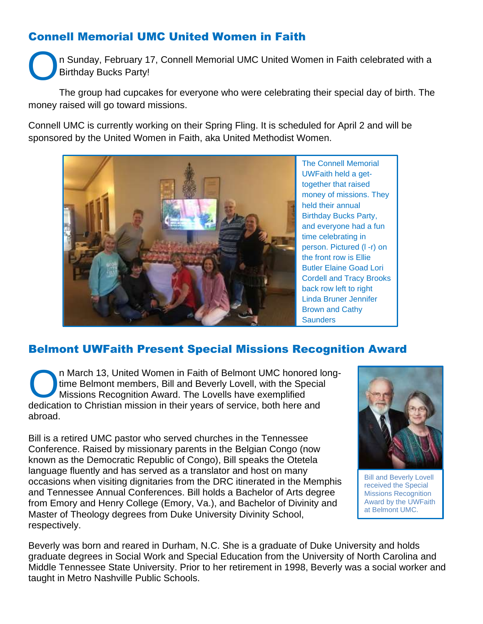# Connell Memorial UMC United Women in Faith

n Sunday, February 17, Connell Memorial UMC United Women in Faith celebrated with a Birthday Bucks Party! O

The group had cupcakes for everyone who were celebrating their special day of birth. The money raised will go toward missions.

Connell UMC is currently working on their Spring Fling. It is scheduled for April 2 and will be sponsored by the United Women in Faith, aka United Methodist Women.



The Connell Memorial UWFaith held a gettogether that raised money of missions. They held their annual Birthday Bucks Party, and everyone had a fun time celebrating in person. Pictured (l -r) on the front row is Ellie Butler Elaine Goad Lori Cordell and Tracy Brooks back row left to right Linda Bruner Jennifer Brown and Cathy **Saunders** 

# Belmont UWFaith Present Special Missions Recognition Award

n March 13, United Women in Faith of Belmont UMC honored longtime Belmont members, Bill and Beverly Lovell, with the Special Missions Recognition Award. The Lovells have exemplified n March 13, United Women in Faith of Belmont UMC honored Im Time Belmont members, Bill and Beverly Lovell, with the Special Missions Recognition Award. The Lovells have exemplified dedication to Christian mission in their abroad.

Bill is a retired UMC pastor who served churches in the Tennessee Conference. Raised by missionary parents in the Belgian Congo (now known as the Democratic Republic of Congo), Bill speaks the Otetela language fluently and has served as a translator and host on many occasions when visiting dignitaries from the DRC itinerated in the Memphis and Tennessee Annual Conferences. Bill holds a Bachelor of Arts degree from Emory and Henry College (Emory, Va.), and Bachelor of Divinity and Master of Theology degrees from Duke University Divinity School, respectively.



Bill and Beverly Lovell received the Special Missions Recognition Award by the UWFaith at Belmont UMC.

Beverly was born and reared in Durham, N.C. She is a graduate of Duke University and holds graduate degrees in Social Work and Special Education from the University of North Carolina and Middle Tennessee State University. Prior to her retirement in 1998, Beverly was a social worker and taught in Metro Nashville Public Schools.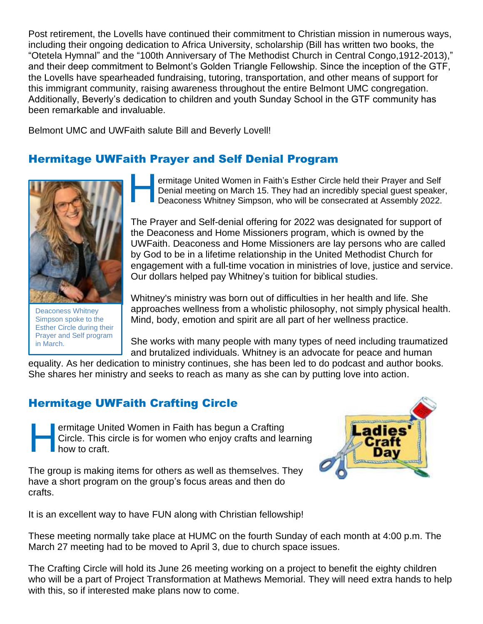Post retirement, the Lovells have continued their commitment to Christian mission in numerous ways, including their ongoing dedication to Africa University, scholarship (Bill has written two books, the "Otetela Hymnal" and the "100th Anniversary of The Methodist Church in Central Congo,1912-2013)," and their deep commitment to Belmont's Golden Triangle Fellowship. Since the inception of the GTF, the Lovells have spearheaded fundraising, tutoring, transportation, and other means of support for this immigrant community, raising awareness throughout the entire Belmont UMC congregation. Additionally, Beverly's dedication to children and youth Sunday School in the GTF community has been remarkable and invaluable.

Belmont UMC and UWFaith salute Bill and Beverly Lovell!

# Hermitage UWFaith Prayer and Self Denial Program



Deaconess Whitney Simpson spoke to the Esther Circle during their Prayer and Self program in March.

ermitage United Women in Faith's Esther Circle held their Prayer and Self Denial meeting on March 15. They had an incredibly special guest speaker, Deaconess Whitney Simpson, who will be consecrated at Assembly 2022. H

The Prayer and Self-denial offering for 2022 was designated for support of the Deaconess and Home Missioners program, which is owned by the UWFaith. Deaconess and Home Missioners are lay persons who are called by God to be in a lifetime relationship in the United Methodist Church for engagement with a full-time vocation in ministries of love, justice and service. Our dollars helped pay Whitney's tuition for biblical studies.

Whitney's ministry was born out of difficulties in her health and life. She approaches wellness from a wholistic philosophy, not simply physical health. Mind, body, emotion and spirit are all part of her wellness practice.

She works with many people with many types of need including traumatized and brutalized individuals. Whitney is an advocate for peace and human

equality. As her dedication to ministry continues, she has been led to do podcast and author books. She shares her ministry and seeks to reach as many as she can by putting love into action.

# Hermitage UWFaith Crafting Circle

ermitage United Women in Faith has begun a Crafting Circle. This circle is for women who enjoy crafts and learning how to craft. H

The group is making items for others as well as themselves. They have a short program on the group's focus areas and then do crafts.



It is an excellent way to have FUN along with Christian fellowship!

These meeting normally take place at HUMC on the fourth Sunday of each month at 4:00 p.m. The March 27 meeting had to be moved to April 3, due to church space issues.

The Crafting Circle will hold its June 26 meeting working on a project to benefit the eighty children who will be a part of Project Transformation at Mathews Memorial. They will need extra hands to help with this, so if interested make plans now to come.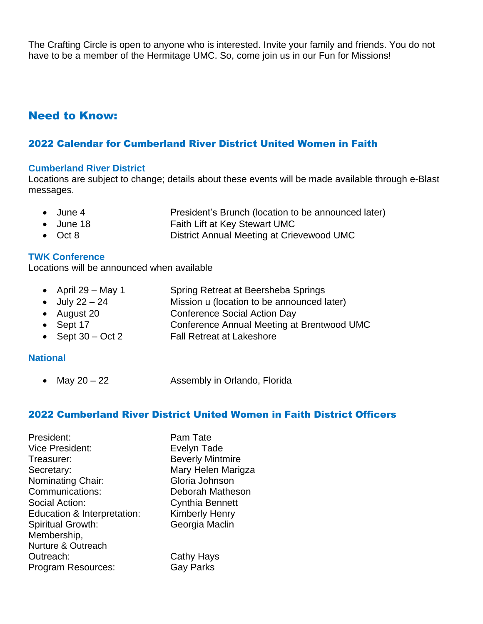The Crafting Circle is open to anyone who is interested. Invite your family and friends. You do not have to be a member of the Hermitage UMC. So, come join us in our Fun for Missions!

### Need to Know:

### 2022 Calendar for Cumberland River District United Women in Faith

#### **Cumberland River District**

Locations are subject to change; details about these events will be made available through e-Blast messages.

- June 4 President's Brunch (location to be announced later)
- June 18 Faith Lift at Key Stewart UMC
- Oct 8 District Annual Meeting at Crievewood UMC

### **TWK Conference**

Locations will be announced when available

- April 29 May 1 Spring Retreat at Beersheba Springs
- July 22 24 Mission u (location to be announced later)
- August 20 Conference Social Action Day
- Sept 17 Conference Annual Meeting at Brentwood UMC
- Sept 30 Oct 2 Fall Retreat at Lakeshore

#### **National**

• May 20 – 22 Assembly in Orlando, Florida

### 2022 Cumberland River District United Women in Faith District Officers

President: Pam Tate Vice President: Evelyn Tade Treasurer: **Beverly Mintmire** Secretary: Mary Helen Marigza Nominating Chair: Gloria Johnson Communications: Deborah Matheson Social Action: Cynthia Bennett Education & Interpretation: Kimberly Henry Spiritual Growth: Georgia Maclin Membership, Nurture & Outreach Outreach: Cathy Hays Program Resources: Gay Parks